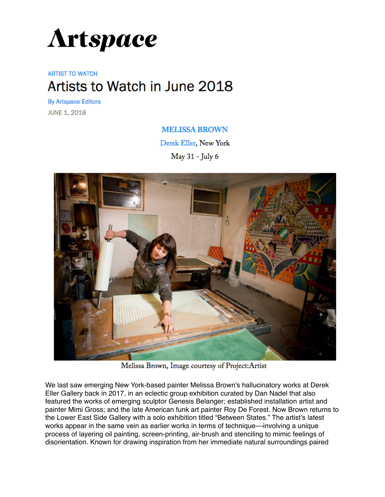

## **ARTIST TO WATCH** Artists to Watch in June 2018

**By Artspace Editors JUNE 1, 2018** 

## **MELISSA BROWN**

Derek Eller, New York

May 31 - July 6



Melissa Brown, Image courtesy of Project: Artist

We last saw emerging New York-based painter Melissa Brown's hallucinatory works at Derek Eller Gallery back in 2017, in an eclectic group exhibition curated by Dan Nadel that also featured the works of emerging sculptor Genesis Belanger; established installation artist and painter Mimi Gross; and the late American funk art painter Roy De Forest. Now Brown returns to the Lower East Side Gallery with a solo exhibition titled "Between States." The artist's latest works appear in the same vein as earlier works in terms of technique—involving a unique process of layering oil painting, screen-printing, air-brush and stenciling to mimic feelings of disorientation. Known for drawing inspiration from her immediate natural surroundings paired